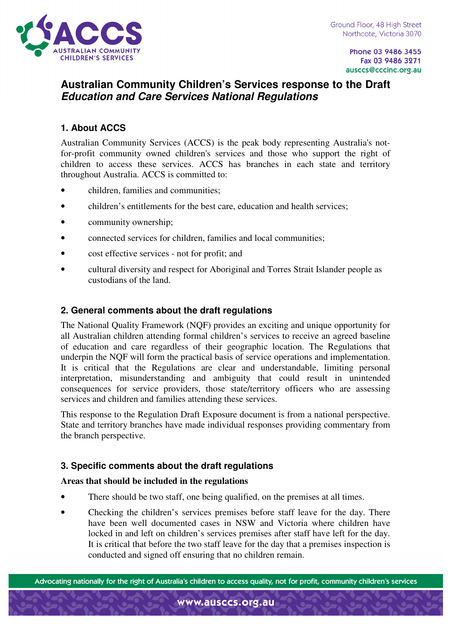

Phone 03 9486 3455 Fax 03 9486 3271 ausccs@cccinc.org.au

# **Australian Community Children's Services response to the Draft Education and Care Services National Regulations**

## **1. About ACCS**

Australian Community Services (ACCS) is the peak body representing Australia's notfor-profit community owned children's services and those who support the right of children to access these services. ACCS has branches in each state and territory throughout Australia. ACCS is committed to:

- children, families and communities;
- children's entitlements for the best care, education and health services;
- community ownership;
- connected services for children, families and local communities;
- cost effective services not for profit; and
- cultural diversity and respect for Aboriginal and Torres Strait Islander people as custodians of the land.

### **2. General comments about the draft regulations**

The National Quality Framework (NQF) provides an exciting and unique opportunity for all Australian children attending formal children's services to receive an agreed baseline of education and care regardless of their geographic location. The Regulations that underpin the NQF will form the practical basis of service operations and implementation. It is critical that the Regulations are clear and understandable, limiting personal interpretation, misunderstanding and ambiguity that could result in unintended consequences for service providers, those state/territory officers who are assessing services and children and families attending these services.

This response to the Regulation Draft Exposure document is from a national perspective. State and territory branches have made individual responses providing commentary from the branch perspective.

### **3. Specific comments about the draft regulations**

#### **Areas that should be included in the regulations**

- There should be two staff, one being qualified, on the premises at all times.
- Checking the children's services premises before staff leave for the day. There have been well documented cases in NSW and Victoria where children have locked in and left on children's services premises after staff have left for the day. It is critical that before the two staff leave for the day that a premises inspection is conducted and signed off ensuring that no children remain.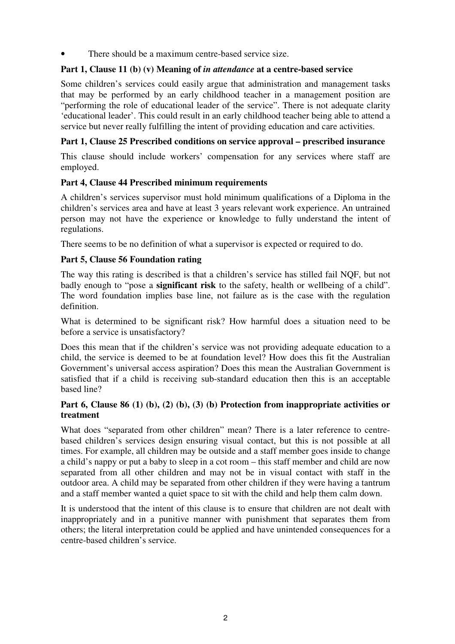There should be a maximum centre-based service size.

### **Part 1, Clause 11 (b) (v) Meaning of** *in attendance* **at a centre-based service**

Some children's services could easily argue that administration and management tasks that may be performed by an early childhood teacher in a management position are "performing the role of educational leader of the service". There is not adequate clarity 'educational leader'. This could result in an early childhood teacher being able to attend a service but never really fulfilling the intent of providing education and care activities.

### **Part 1, Clause 25 Prescribed conditions on service approval – prescribed insurance**

This clause should include workers' compensation for any services where staff are employed.

### **Part 4, Clause 44 Prescribed minimum requirements**

A children's services supervisor must hold minimum qualifications of a Diploma in the children's services area and have at least 3 years relevant work experience. An untrained person may not have the experience or knowledge to fully understand the intent of regulations.

There seems to be no definition of what a supervisor is expected or required to do.

### **Part 5, Clause 56 Foundation rating**

The way this rating is described is that a children's service has stilled fail NQF, but not badly enough to "pose a **significant risk** to the safety, health or wellbeing of a child". The word foundation implies base line, not failure as is the case with the regulation definition.

What is determined to be significant risk? How harmful does a situation need to be before a service is unsatisfactory?

Does this mean that if the children's service was not providing adequate education to a child, the service is deemed to be at foundation level? How does this fit the Australian Government's universal access aspiration? Does this mean the Australian Government is satisfied that if a child is receiving sub-standard education then this is an acceptable based line?

### Part 6, Clause 86 (1) (b), (2) (b), (3) (b) Protection from inappropriate activities or **treatment**

What does "separated from other children" mean? There is a later reference to centrebased children's services design ensuring visual contact, but this is not possible at all times. For example, all children may be outside and a staff member goes inside to change a child's nappy or put a baby to sleep in a cot room – this staff member and child are now separated from all other children and may not be in visual contact with staff in the outdoor area. A child may be separated from other children if they were having a tantrum and a staff member wanted a quiet space to sit with the child and help them calm down.

It is understood that the intent of this clause is to ensure that children are not dealt with inappropriately and in a punitive manner with punishment that separates them from others; the literal interpretation could be applied and have unintended consequences for a centre-based children's service.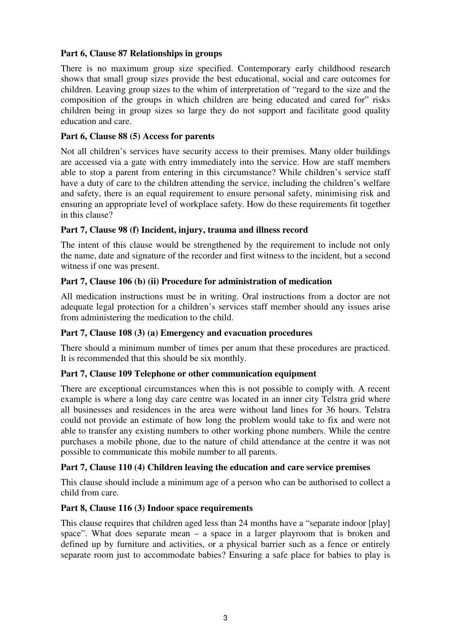### **Part 6, Clause 87 Relationships in groups**

There is no maximum group size specified. Contemporary early childhood research shows that small group sizes provide the best educational, social and care outcomes for children. Leaving group sizes to the whim of interpretation of "regard to the size and the composition of the groups in which children are being educated and cared for" risks children being in group sizes so large they do not support and facilitate good quality education and care.

### **Part 6, Clause 88 (5) Access for parents**

Not all children's services have security access to their premises. Many older buildings are accessed via a gate with entry immediately into the service. How are staff members able to stop a parent from entering in this circumstance? While children's service staff have a duty of care to the children attending the service, including the children's welfare and safety, there is an equal requirement to ensure personal safety, minimising risk and ensuring an appropriate level of workplace safety. How do these requirements fit together in this clause?

### **Part 7, Clause 98 (f) Incident, injury, trauma and illness record**

The intent of this clause would be strengthened by the requirement to include not only the name, date and signature of the recorder and first witness to the incident, but a second witness if one was present.

### **Part 7, Clause 106 (b) (ii) Procedure for administration of medication**

All medication instructions must be in writing. Oral instructions from a doctor are not adequate legal protection for a children's services staff member should any issues arise from administering the medication to the child.

#### **Part 7, Clause 108 (3) (a) Emergency and evacuation procedures**

There should a minimum number of times per anum that these procedures are practiced. It is recommended that this should be six monthly.

#### **Part 7, Clause 109 Telephone or other communication equipment**

There are exceptional circumstances when this is not possible to comply with. A recent example is where a long day care centre was located in an inner city Telstra grid where all businesses and residences in the area were without land lines for 36 hours. Telstra could not provide an estimate of how long the problem would take to fix and were not able to transfer any existing numbers to other working phone numbers. While the centre purchases a mobile phone, due to the nature of child attendance at the centre it was not possible to communicate this mobile number to all parents.

### **Part 7, Clause 110 (4) Children leaving the education and care service premises**

This clause should include a minimum age of a person who can be authorised to collect a child from care.

#### **Part 8, Clause 116 (3) Indoor space requirements**

This clause requires that children aged less than 24 months have a "separate indoor [play] space". What does separate mean – a space in a larger playroom that is broken and defined up by furniture and activities, or a physical barrier such as a fence or entirely separate room just to accommodate babies? Ensuring a safe place for babies to play is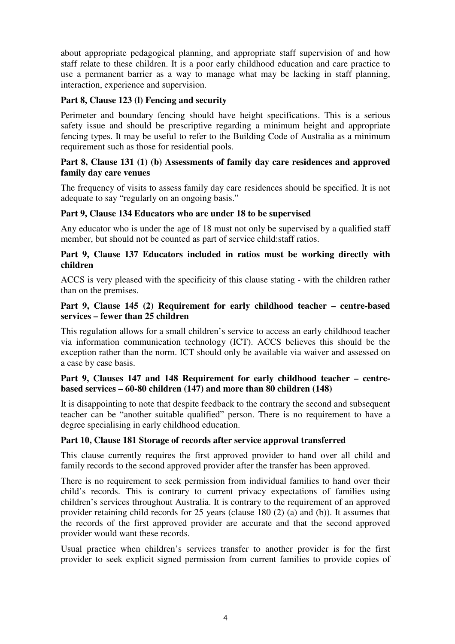about appropriate pedagogical planning, and appropriate staff supervision of and how staff relate to these children. It is a poor early childhood education and care practice to use a permanent barrier as a way to manage what may be lacking in staff planning, interaction, experience and supervision.

### **Part 8, Clause 123 (l) Fencing and security**

Perimeter and boundary fencing should have height specifications. This is a serious safety issue and should be prescriptive regarding a minimum height and appropriate fencing types. It may be useful to refer to the Building Code of Australia as a minimum requirement such as those for residential pools.

#### **Part 8, Clause 131 (1) (b) Assessments of family day care residences and approved family day care venues**

The frequency of visits to assess family day care residences should be specified. It is not adequate to say "regularly on an ongoing basis."

### **Part 9, Clause 134 Educators who are under 18 to be supervised**

Any educator who is under the age of 18 must not only be supervised by a qualified staff member, but should not be counted as part of service child:staff ratios.

#### **Part 9, Clause 137 Educators included in ratios must be working directly with children**

ACCS is very pleased with the specificity of this clause stating - with the children rather than on the premises.

### **Part 9, Clause 145 (2) Requirement for early childhood teacher – centre-based services – fewer than 25 children**

This regulation allows for a small children's service to access an early childhood teacher via information communication technology (ICT). ACCS believes this should be the exception rather than the norm. ICT should only be available via waiver and assessed on a case by case basis.

### **Part 9, Clauses 147 and 148 Requirement for early childhood teacher – centrebased services – 60-80 children (147) and more than 80 children (148)**

It is disappointing to note that despite feedback to the contrary the second and subsequent teacher can be "another suitable qualified" person. There is no requirement to have a degree specialising in early childhood education.

### **Part 10, Clause 181 Storage of records after service approval transferred**

This clause currently requires the first approved provider to hand over all child and family records to the second approved provider after the transfer has been approved.

There is no requirement to seek permission from individual families to hand over their child's records. This is contrary to current privacy expectations of families using children's services throughout Australia. It is contrary to the requirement of an approved provider retaining child records for 25 years (clause 180 (2) (a) and (b)). It assumes that the records of the first approved provider are accurate and that the second approved provider would want these records.

Usual practice when children's services transfer to another provider is for the first provider to seek explicit signed permission from current families to provide copies of